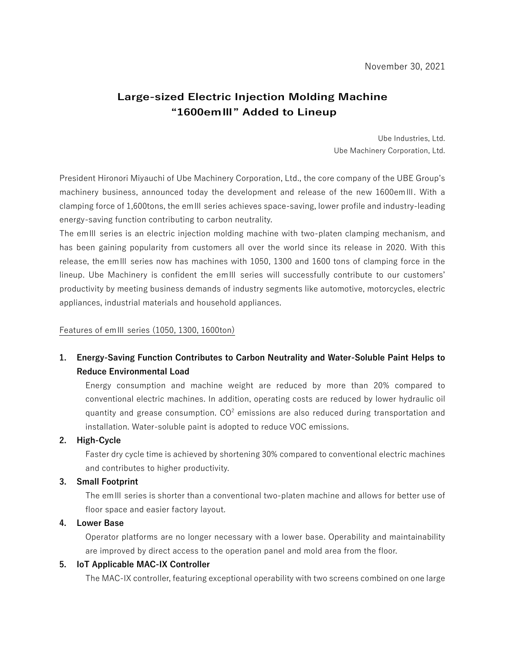# **Large-sized Electric Injection Molding Machine "1600emⅢ" Added to Lineup**

Ube Industries, Ltd. Ube Machinery Corporation, Ltd.

President Hironori Miyauchi of Ube Machinery Corporation, Ltd., the core company of the UBE Group's machinery business, announced today the development and release of the new 1600emⅢ. With a clamping force of 1,600tons, the emⅢ series achieves space-saving, lower profile and industry-leading energy-saving function contributing to carbon neutrality.

The emⅢ series is an electric injection molding machine with two-platen clamping mechanism, and has been gaining popularity from customers all over the world since its release in 2020. With this release, the emⅢ series now has machines with 1050, 1300 and 1600 tons of clamping force in the lineup. Ube Machinery is confident the emⅢ series will successfully contribute to our customers' productivity by meeting business demands of industry segments like automotive, motorcycles, electric appliances, industrial materials and household appliances.

#### Features of emⅢ series (1050, 1300, 1600ton)

## **1. Energy-Saving Function Contributes to Carbon Neutrality and Water-Soluble Paint Helps to Reduce Environmental Load**

Energy consumption and machine weight are reduced by more than 20% compared to conventional electric machines. In addition, operating costs are reduced by lower hydraulic oil quantity and grease consumption.  $CO^2$  emissions are also reduced during transportation and installation. Water-soluble paint is adopted to reduce VOC emissions.

### **2. High-Cycle**

Faster dry cycle time is achieved by shortening 30% compared to conventional electric machines and contributes to higher productivity.

### **3. Small Footprint**

The emⅢ series is shorter than a conventional two-platen machine and allows for better use of floor space and easier factory layout.

### **4. Lower Base**

Operator platforms are no longer necessary with a lower base. Operability and maintainability are improved by direct access to the operation panel and mold area from the floor.

### **5. IoT Applicable MAC-IX Controller**

The MAC-IX controller, featuring exceptional operability with two screens combined on one large